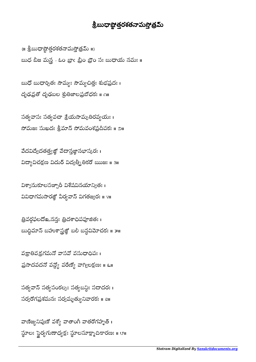వాణిజ్యనిపుణో వశ్యో వాతాంగీ వాతరోగహృత్ । స్థూలః స్థైర్యగుణాధ్యక్షః స్థూలసూక్ష్మాదికారణః ॥ ౮॥ ֺ

సత్యవాన్ సత్యపంకల్పః సత్యబన్ధిః సదాదరః । సర్వరోగప్రశమనః సర్వమృత్యు నివారకః ॥ all

వక్రాతివక్రగమనో వాసవో వసుధాధిపః । ప్రసాదవదనో వన్యో వరేణ్యో వాగ్యిలక్షణః ॥ ६॥

త్రివర్గఫలదో ఒనన: త్రిదశాధిపపూజిత: 1 బుద్ధిమాన్ బహుశాస్త్రజ్ఞో బలి బస్ధవిమోచకః ॥ ౫॥  $\overline{a}$ 

విశ్వానుకూలసఞ్చారీ విశేషవినయాన్యితః। వివిధాగమసారజ్ఞో వీర్యవాన్ విగతజ్వరః ॥ ४॥

వేదవిద్యేదతత్త్వజ్ఞో వేదాన్తజ్ఞానభాస్కరః । విద్యావిచక్షణ విదుర్ విద్వత్నీతికరో ఋజః ॥ ३॥

సత్యవాసః సత్యవచా శ్రేయసామృతిరవ్యయః । నోమజః సుఖదః శ్రీమాన్ సోమవంశప్రదీపకః ॥ ౨॥

బుధో బుధార్చితః సౌమ్యః సౌమ్యచిత్తః శుభప్రదః । దృఢవ్రతో దృఢబల శ్రుతిజాలప్రబోధకః ॥ ∩॥

 $\{ \mathsf{II} \text{ } \overset{\circ}{\mathsf{S}}$ బుధాష్టాత్రరశతనామస్తోత్రమ్  $\mathsf{II} \}$ బుధ బీజ మన్ల - ఓం బ్రాం బ్రీం బ్రౌం సః బుధాయ నమః ॥

## శ్రీబుధాష్టోత్తరశతనామస్తోత్రమ<mark>్</mark>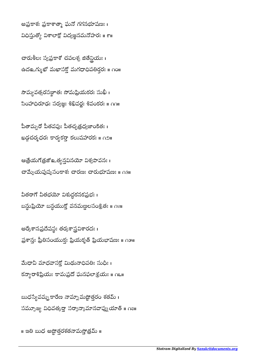అప్రకాశః ప్రకాశాత్మా ఘనో గగనభూషణః । విధిస్తుత్యో విశాలాక్షో విద్యజ్ఞనమనోహరః ॥ ౯॥

చారుశీలః స్వప్రకాశో చపలశ్చ జితేన్దియః । ఉదஉగ్ముఖో మఖాసక్తో మగధాధిపతిర్తరః ॥ ∩౦॥

సౌమ్యవత్సరసఞ్ఞాతః సోమప్రియకరః సుఖీ। సింహాధిరూఢః సర్వజ్ఞః శిఖివర్ణః శివంకరః <mark>။</mark> ∩∩။

పీతామ్బరో పీతవపుః పీతచ్చత్రధ్వజా౦కితః । ఖడ్గచర్మధరః కార్యకరా కలుషహారకః ॥ ∩౨॥

ఆత్రేయగోత్రజో అత్యన్తవినయో విశ్వపావనః । చామ్పేయపుష్పసంకాశః చారణః చారుభూషణః ॥ ∩౩॥

వీతరాగో వీతభయో విశుద్ధకనకప్రభ<mark>ః</mark> । బస్ధుప్రియో బస్ధయుక్తో వనమణ్ణలసంశ్రీతః ॥ ౧శ॥

అర్కేశానప్రదేషస్థః తర్కశాస్త్రవిశారదః । ప్రశాన్తః ప్రీతిసంయుక్తః ప్రియకృత్ ప్రియభాషణః ॥ ౧౫॥

మేధావీ మాధవాసక్తో మిథునాధిపతిః సుధీః । కన్యారాశిప్రియః కామప్రదో ఘనఫలాశ్రయః ॥ ౧౬॥

బుధస్యేవమ్మకారేణ నామ్నామష్టోత్తరం శతమ్ । సమ్పూజ్య విధివత్కరా సర్వాన్కామానవాప్ను యాత్ ॥ ౧౭॥

॥ ఇతి బుధ అష్టోత్రశతనామస్తోత్రమ్ ॥